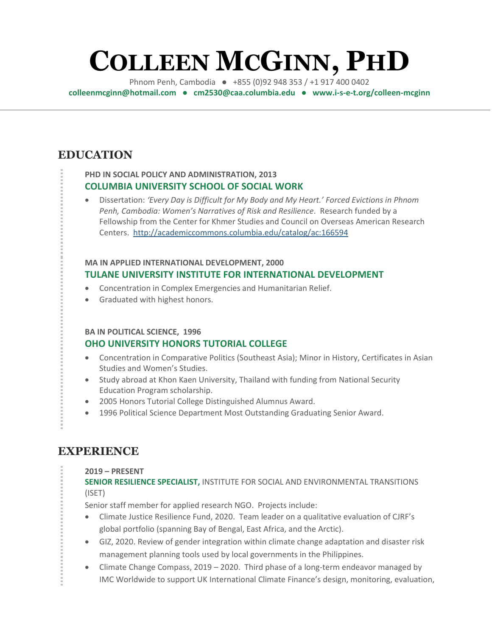# **COLLEEN MCGINN, PHD**

Phnom Penh, Cambodia ● +855 (0)92 948 353 / +1 917 400 0402 **[colleenmcginn@hotmail.com](mailto:colleenmcginn@hotmail.com) ● cm2530@caa.columbia.edu ● www.i-s-e-t.org/colleen-mcginn**

## **EDUCATION**

### **PHD IN SOCIAL POLICY AND ADMINISTRATION, 2013 COLUMBIA UNIVERSITY SCHOOL OF SOCIAL WORK**

• Dissertation: *'Every Day is Difficult for My Body and My Heart.' Forced Evictions in Phnom Penh, Cambodia: Women's Narratives of Risk and Resilience*. Research funded by a Fellowship from the Center for Khmer Studies and Council on Overseas American Research Centers.<http://academiccommons.columbia.edu/catalog/ac:166594>

### **MA IN APPLIED INTERNATIONAL DEVELOPMENT, 2000 TULANE UNIVERSITY INSTITUTE FOR INTERNATIONAL DEVELOPMENT**

- Concentration in Complex Emergencies and Humanitarian Relief.
- Graduated with highest honors.

### **BA IN POLITICAL SCIENCE, 1996**

### **OHO UNIVERSITY HONORS TUTORIAL COLLEGE**

- Concentration in Comparative Politics (Southeast Asia); Minor in History, Certificates in Asian Studies and Women's Studies.
- Study abroad at Khon Kaen University, Thailand with funding from National Security Education Program scholarship.
- 2005 Honors Tutorial College Distinguished Alumnus Award.
- 1996 Political Science Department Most Outstanding Graduating Senior Award.

# **EXPERIENCE**

### **2019 – PRESENT**

**SENIOR RESILIENCE SPECIALIST,** INSTITUTE FOR SOCIAL AND ENVIRONMENTAL TRANSITIONS (ISET)

Senior staff member for applied research NGO. Projects include:

- Climate Justice Resilience Fund, 2020. Team leader on a qualitative evaluation of CJRF's global portfolio (spanning Bay of Bengal, East Africa, and the Arctic).
- GIZ, 2020. Review of gender integration within climate change adaptation and disaster risk management planning tools used by local governments in the Philippines.
- Climate Change Compass, 2019 2020. Third phase of a long-term endeavor managed by IMC Worldwide to support UK International Climate Finance's design, monitoring, evaluation,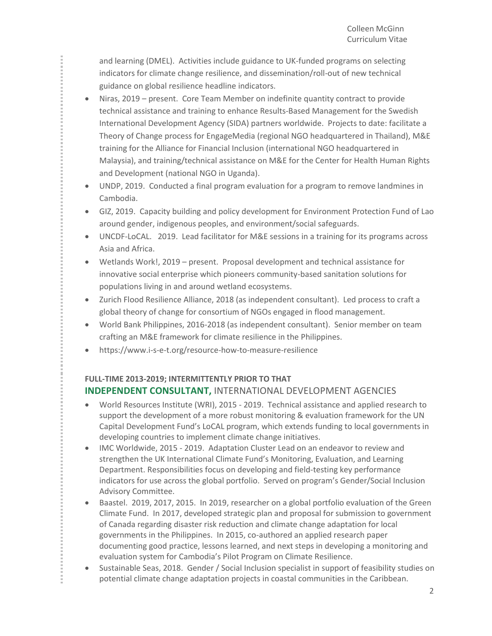and learning (DMEL). Activities include guidance to UK-funded programs on selecting indicators for climate change resilience, and dissemination/roll-out of new technical guidance on global resilience headline indicators.

- Niras, 2019 present. Core Team Member on indefinite quantity contract to provide technical assistance and training to enhance Results-Based Management for the Swedish International Development Agency (SIDA) partners worldwide. Projects to date: facilitate a Theory of Change process for EngageMedia (regional NGO headquartered in Thailand), M&E training for the Alliance for Financial Inclusion (international NGO headquartered in Malaysia), and training/technical assistance on M&E for the Center for Health Human Rights and Development (national NGO in Uganda).
- UNDP, 2019. Conducted a final program evaluation for a program to remove landmines in Cambodia.
- GIZ, 2019. Capacity building and policy development for Environment Protection Fund of Lao around gender, indigenous peoples, and environment/social safeguards.
- UNCDF-LoCAL. 2019. Lead facilitator for M&E sessions in a training for its programs across Asia and Africa.
- Wetlands Work!, 2019 present. Proposal development and technical assistance for innovative social enterprise which pioneers community-based sanitation solutions for populations living in and around wetland ecosystems.
- Zurich Flood Resilience Alliance, 2018 (as independent consultant). Led process to craft a global theory of change for consortium of NGOs engaged in flood management.
- World Bank Philippines, 2016-2018 (as independent consultant). Senior member on team crafting an M&E framework for climate resilience in the Philippines.
- https://www.i-s-e-t.org/resource-how-to-measure-resilience

### **FULL-TIME 2013-2019; INTERMITTENTLY PRIOR TO THAT INDEPENDENT CONSULTANT,** INTERNATIONAL DEVELOPMENT AGENCIES

- World Resources Institute (WRI), 2015 2019. Technical assistance and applied research to support the development of a more robust monitoring & evaluation framework for the UN Capital Development Fund's LoCAL program, which extends funding to local governments in developing countries to implement climate change initiatives.
- IMC Worldwide, 2015 2019. Adaptation Cluster Lead on an endeavor to review and strengthen the UK International Climate Fund's Monitoring, Evaluation, and Learning Department. Responsibilities focus on developing and field-testing key performance indicators for use across the global portfolio. Served on program's Gender/Social Inclusion Advisory Committee.
- Baastel. 2019, 2017, 2015. In 2019, researcher on a global portfolio evaluation of the Green Climate Fund. In 2017, developed strategic plan and proposal for submission to government of Canada regarding disaster risk reduction and climate change adaptation for local governments in the Philippines. In 2015, co-authored an applied research paper documenting good practice, lessons learned, and next steps in developing a monitoring and evaluation system for Cambodia's Pilot Program on Climate Resilience.
- Sustainable Seas, 2018. Gender / Social Inclusion specialist in support of feasibility studies on potential climate change adaptation projects in coastal communities in the Caribbean.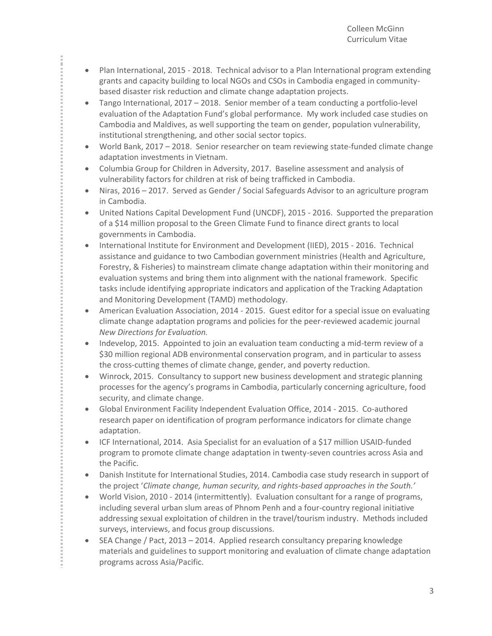• Plan International, 2015 - 2018. Technical advisor to a Plan International program extending grants and capacity building to local NGOs and CSOs in Cambodia engaged in communitybased disaster risk reduction and climate change adaptation projects.

î

- Tango International, 2017 2018. Senior member of a team conducting a portfolio-level evaluation of the Adaptation Fund's global performance. My work included case studies on Cambodia and Maldives, as well supporting the team on gender, population vulnerability, institutional strengthening, and other social sector topics.
- World Bank, 2017 2018. Senior researcher on team reviewing state-funded climate change adaptation investments in Vietnam.
- Columbia Group for Children in Adversity, 2017. Baseline assessment and analysis of vulnerability factors for children at risk of being trafficked in Cambodia.
- Niras, 2016 2017. Served as Gender / Social Safeguards Advisor to an agriculture program in Cambodia.
- United Nations Capital Development Fund (UNCDF), 2015 2016. Supported the preparation of a \$14 million proposal to the Green Climate Fund to finance direct grants to local governments in Cambodia.
- International Institute for Environment and Development (IIED), 2015 2016. Technical assistance and guidance to two Cambodian government ministries (Health and Agriculture, Forestry, & Fisheries) to mainstream climate change adaptation within their monitoring and evaluation systems and bring them into alignment with the national framework. Specific tasks include identifying appropriate indicators and application of the Tracking Adaptation and Monitoring Development (TAMD) methodology.
- American Evaluation Association, 2014 2015. Guest editor for a special issue on evaluating climate change adaptation programs and policies for the peer-reviewed academic journal *New Directions for Evaluation.*
- Indevelop, 2015. Appointed to join an evaluation team conducting a mid-term review of a \$30 million regional ADB environmental conservation program, and in particular to assess the cross-cutting themes of climate change, gender, and poverty reduction.
- Winrock, 2015. Consultancy to support new business development and strategic planning processes for the agency's programs in Cambodia, particularly concerning agriculture, food security, and climate change.
- Global Environment Facility Independent Evaluation Office, 2014 2015. Co-authored research paper on identification of program performance indicators for climate change adaptation.
- ICF International, 2014. Asia Specialist for an evaluation of a \$17 million USAID-funded program to promote climate change adaptation in twenty-seven countries across Asia and the Pacific.
- Danish Institute for International Studies, 2014. Cambodia case study research in support of the project '*Climate change, human security, and rights-based approaches in the South.'*
- World Vision, 2010 2014 (intermittently). Evaluation consultant for a range of programs, including several urban slum areas of Phnom Penh and a four-country regional initiative addressing sexual exploitation of children in the travel/tourism industry. Methods included surveys, interviews, and focus group discussions.
- SEA Change / Pact, 2013 2014. Applied research consultancy preparing knowledge materials and guidelines to support monitoring and evaluation of climate change adaptation programs across Asia/Pacific.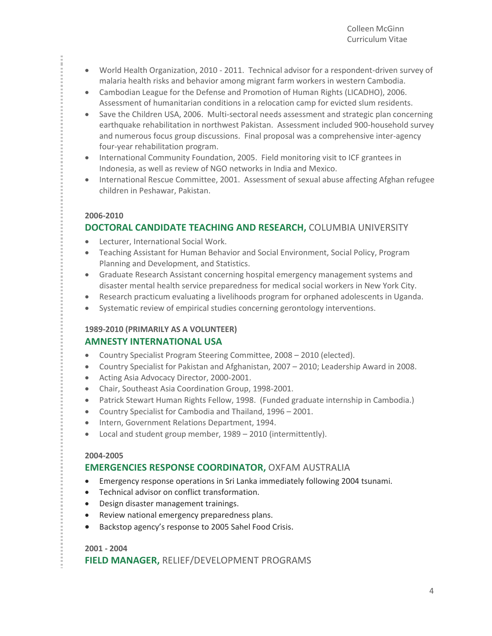- World Health Organization, 2010 2011. Technical advisor for a respondent-driven survey of malaria health risks and behavior among migrant farm workers in western Cambodia.
- Cambodian League for the Defense and Promotion of Human Rights (LICADHO), 2006. Assessment of humanitarian conditions in a relocation camp for evicted slum residents.
- Save the Children USA, 2006. Multi-sectoral needs assessment and strategic plan concerning earthquake rehabilitation in northwest Pakistan. Assessment included 900-household survey and numerous focus group discussions. Final proposal was a comprehensive inter-agency four-year rehabilitation program.
- International Community Foundation, 2005. Field monitoring visit to ICF grantees in Indonesia, as well as review of NGO networks in India and Mexico.
- International Rescue Committee, 2001. Assessment of sexual abuse affecting Afghan refugee children in Peshawar, Pakistan.

### **2006-2010**

### **DOCTORAL CANDIDATE TEACHING AND RESEARCH,** COLUMBIA UNIVERSITY

- Lecturer, International Social Work.
- Teaching Assistant for Human Behavior and Social Environment, Social Policy, Program Planning and Development, and Statistics.
- Graduate Research Assistant concerning hospital emergency management systems and disaster mental health service preparedness for medical social workers in New York City.
- Research practicum evaluating a livelihoods program for orphaned adolescents in Uganda.
- Systematic review of empirical studies concerning gerontology interventions.

### **1989-2010 (PRIMARILY AS A VOLUNTEER) AMNESTY INTERNATIONAL USA**

- Country Specialist Program Steering Committee, 2008 2010 (elected).
- Country Specialist for Pakistan and Afghanistan, 2007 2010; Leadership Award in 2008.
- Acting Asia Advocacy Director, 2000-2001.
- Chair, Southeast Asia Coordination Group, 1998-2001.
- Patrick Stewart Human Rights Fellow, 1998. (Funded graduate internship in Cambodia.)
- Country Specialist for Cambodia and Thailand, 1996 2001.
- Intern, Government Relations Department, 1994.
- Local and student group member, 1989 2010 (intermittently).

### **2004-2005**

### **EMERGENCIES RESPONSE COORDINATOR,** OXFAM AUSTRALIA

- Emergency response operations in Sri Lanka immediately following 2004 tsunami.
- Technical advisor on conflict transformation.
- Design disaster management trainings.
- Review national emergency preparedness plans.
- Backstop agency's response to 2005 Sahel Food Crisis.

### **2001 - 2004**

**FIELD MANAGER,** RELIEF/DEVELOPMENT PROGRAMS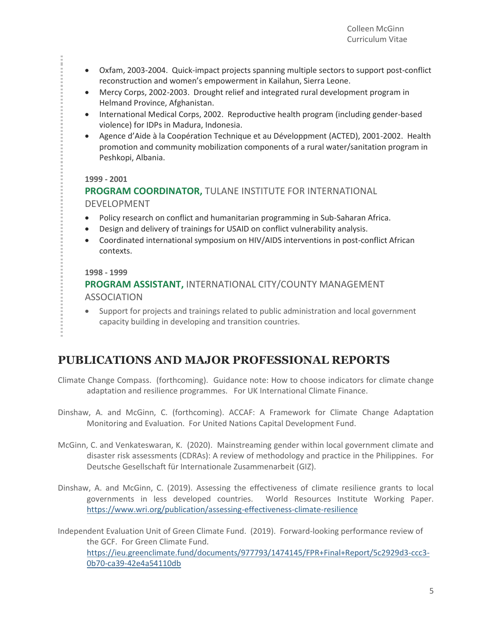- Oxfam, 2003-2004. Quick-impact projects spanning multiple sectors to support post-conflict reconstruction and women's empowerment in Kailahun, Sierra Leone.
- Mercy Corps, 2002-2003. Drought relief and integrated rural development program in Helmand Province, Afghanistan.
- International Medical Corps, 2002. Reproductive health program (including gender-based violence) for IDPs in Madura, Indonesia.
- Agence d'Aide à la Coopération Technique et au Développment (ACTED), 2001-2002. Health promotion and community mobilization components of a rural water/sanitation program in Peshkopi, Albania.

### **1999 - 2001**

î

### **PROGRAM COORDINATOR,** TULANE INSTITUTE FOR INTERNATIONAL DEVELOPMENT

- Policy research on conflict and humanitarian programming in Sub-Saharan Africa.
- Design and delivery of trainings for USAID on conflict vulnerability analysis.
- Coordinated international symposium on HIV/AIDS interventions in post-conflict African contexts.

### **1998 - 1999**

### **PROGRAM ASSISTANT,** INTERNATIONAL CITY/COUNTY MANAGEMENT ASSOCIATION

• Support for projects and trainings related to public administration and local government capacity building in developing and transition countries.

# **PUBLICATIONS AND MAJOR PROFESSIONAL REPORTS**

- Climate Change Compass. (forthcoming). Guidance note: How to choose indicators for climate change adaptation and resilience programmes. For UK International Climate Finance.
- Dinshaw, A. and McGinn, C. (forthcoming). ACCAF: A Framework for Climate Change Adaptation Monitoring and Evaluation. For United Nations Capital Development Fund.
- McGinn, C. and Venkateswaran, K. (2020). Mainstreaming gender within local government climate and disaster risk assessments (CDRAs): A review of methodology and practice in the Philippines. For Deutsche Gesellschaft für Internationale Zusammenarbeit (GIZ).
- Dinshaw, A. and McGinn, C. (2019). Assessing the effectiveness of climate resilience grants to local governments in less developed countries. World Resources Institute Working Paper. <https://www.wri.org/publication/assessing-effectiveness-climate-resilience>
- Independent Evaluation Unit of Green Climate Fund. (2019). Forward-looking performance review of the GCF. For Green Climate Fund. [https://ieu.greenclimate.fund/documents/977793/1474145/FPR+Final+Report/5c2929d3-ccc3-](https://ieu.greenclimate.fund/documents/977793/1474145/FPR+Final+Report/5c2929d3-ccc3-0b70-ca39-42e4a54110db) [0b70-ca39-42e4a54110db](https://ieu.greenclimate.fund/documents/977793/1474145/FPR+Final+Report/5c2929d3-ccc3-0b70-ca39-42e4a54110db)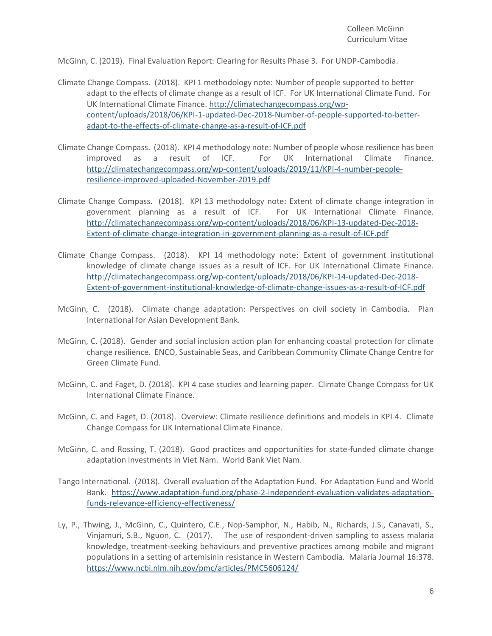McGinn, C. (2019). Final Evaluation Report: Clearing for Results Phase 3. For UNDP-Cambodia.

- Climate Change Compass. (2018). KPI 1 methodology note: Number of people supported to better adapt to the effects of climate change as a result of ICF. For UK International Climate Fund. For UK International Climate Finance. [http://climatechangecompass.org/wp](http://climatechangecompass.org/wp-content/uploads/2018/06/KPI-1-updated-Dec-2018-Number-of-people-supported-to-better-adapt-to-the-effects-of-climate-change-as-a-result-of-ICF.pdf)[content/uploads/2018/06/KPI-1-updated-Dec-2018-Number-of-people-supported-to-better](http://climatechangecompass.org/wp-content/uploads/2018/06/KPI-1-updated-Dec-2018-Number-of-people-supported-to-better-adapt-to-the-effects-of-climate-change-as-a-result-of-ICF.pdf)[adapt-to-the-effects-of-climate-change-as-a-result-of-ICF.pdf](http://climatechangecompass.org/wp-content/uploads/2018/06/KPI-1-updated-Dec-2018-Number-of-people-supported-to-better-adapt-to-the-effects-of-climate-change-as-a-result-of-ICF.pdf)
- Climate Change Compass. (2018). KPI 4 methodology note: Number of people whose resilience has been improved as a result of ICF. For UK International Climate Finance. [http://climatechangecompass.org/wp-content/uploads/2019/11/KPI-4-number-people](http://climatechangecompass.org/wp-content/uploads/2019/11/KPI-4-number-people-resilience-improved-uploaded-November-2019.pdf)[resilience-improved-uploaded-November-2019.pdf](http://climatechangecompass.org/wp-content/uploads/2019/11/KPI-4-number-people-resilience-improved-uploaded-November-2019.pdf)
- Climate Change Compass. (2018). KPI 13 methodology note: Extent of climate change integration in government planning as a result of ICF. For UK International Climate Finance. [http://climatechangecompass.org/wp-content/uploads/2018/06/KPI-13-updated-Dec-2018-](http://climatechangecompass.org/wp-content/uploads/2018/06/KPI-13-updated-Dec-2018-Extent-of-climate-change-integration-in-government-planning-as-a-result-of-ICF.pdf) [Extent-of-climate-change-integration-in-government-planning-as-a-result-of-ICF.pdf](http://climatechangecompass.org/wp-content/uploads/2018/06/KPI-13-updated-Dec-2018-Extent-of-climate-change-integration-in-government-planning-as-a-result-of-ICF.pdf)
- Climate Change Compass. (2018). KPI 14 methodology note: Extent of government institutional knowledge of climate change issues as a result of ICF. For UK International Climate Finance. [http://climatechangecompass.org/wp-content/uploads/2018/06/KPI-14-updated-Dec-2018-](http://climatechangecompass.org/wp-content/uploads/2018/06/KPI-14-updated-Dec-2018-Extent-of-government-institutional-knowledge-of-climate-change-issues-as-a-result-of-ICF.pdf) [Extent-of-government-institutional-knowledge-of-climate-change-issues-as-a-result-of-ICF.pdf](http://climatechangecompass.org/wp-content/uploads/2018/06/KPI-14-updated-Dec-2018-Extent-of-government-institutional-knowledge-of-climate-change-issues-as-a-result-of-ICF.pdf)
- McGinn, C. (2018). Climate change adaptation: Perspectives on civil society in Cambodia. Plan International for Asian Development Bank.
- McGinn, C. (2018). Gender and social inclusion action plan for enhancing coastal protection for climate change resilience. ENCO, Sustainable Seas, and Caribbean Community Climate Change Centre for Green Climate Fund.
- McGinn, C. and Faget, D. (2018). KPI 4 case studies and learning paper. Climate Change Compass for UK International Climate Finance.
- McGinn, C. and Faget, D. (2018). Overview: Climate resilience definitions and models in KPI 4. Climate Change Compass for UK International Climate Finance.
- McGinn, C. and Rossing, T. (2018). Good practices and opportunities for state-funded climate change adaptation investments in Viet Nam. World Bank Viet Nam.
- Tango International. (2018). Overall evaluation of the Adaptation Fund. For Adaptation Fund and World Bank. [https://www.adaptation-fund.org/phase-2-independent-evaluation-validates-adaptation](https://www.adaptation-fund.org/phase-2-independent-evaluation-validates-adaptation-funds-relevance-efficiency-effectiveness/)[funds-relevance-efficiency-effectiveness/](https://www.adaptation-fund.org/phase-2-independent-evaluation-validates-adaptation-funds-relevance-efficiency-effectiveness/)
- Ly, P., Thwing, J., McGinn, C., Quintero, C.E., Nop-Samphor, N., Habib, N., Richards, J.S., Canavati, S., Vinjamuri, S.B., Nguon, C. (2017). The use of respondent-driven sampling to assess malaria knowledge, treatment-seeking behaviours and preventive practices among mobile and migrant populations in a setting of artemisinin resistance in Western Cambodia. Malaria Journal 16:378. <https://www.ncbi.nlm.nih.gov/pmc/articles/PMC5606124/>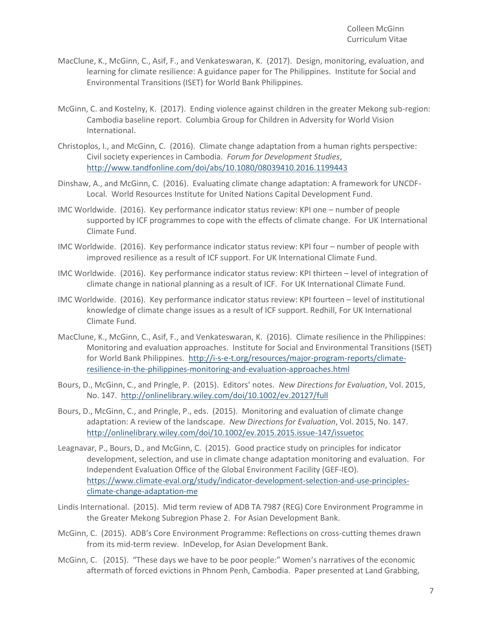- MacClune, K., McGinn, C., Asif, F., and Venkateswaran, K. (2017). Design, monitoring, evaluation, and learning for climate resilience: A guidance paper for The Philippines. Institute for Social and Environmental Transitions (ISET) for World Bank Philippines.
- McGinn, C. and Kostelny, K. (2017). Ending violence against children in the greater Mekong sub-region: Cambodia baseline report. Columbia Group for Children in Adversity for World Vision International.
- Christoplos, I., and McGinn, C. (2016). Climate change adaptation from a human rights perspective: Civil society experiences in Cambodia. *Forum for Development Studies*, <http://www.tandfonline.com/doi/abs/10.1080/08039410.2016.1199443>
- Dinshaw, A., and McGinn, C. (2016). Evaluating climate change adaptation: A framework for UNCDF-Local. World Resources Institute for United Nations Capital Development Fund.
- IMC Worldwide. (2016). Key performance indicator status review: KPI one number of people supported by ICF programmes to cope with the effects of climate change. For UK International Climate Fund.
- IMC Worldwide. (2016). Key performance indicator status review: KPI four number of people with improved resilience as a result of ICF support. For UK International Climate Fund.
- IMC Worldwide. (2016). Key performance indicator status review: KPI thirteen level of integration of climate change in national planning as a result of ICF. For UK International Climate Fund.
- IMC Worldwide. (2016). Key performance indicator status review: KPI fourteen level of institutional knowledge of climate change issues as a result of ICF support. Redhill, For UK International Climate Fund.
- MacClune, K., McGinn, C., Asif, F., and Venkateswaran, K. (2016). Climate resilience in the Philippines: Monitoring and evaluation approaches. Institute for Social and Environmental Transitions (ISET) for World Bank Philippines. [http://i-s-e-t.org/resources/major-program-reports/climate](http://i-s-e-t.org/resources/major-program-reports/climate-resilience-in-the-philippines-monitoring-and-evaluation-approaches.html)[resilience-in-the-philippines-monitoring-and-evaluation-approaches.html](http://i-s-e-t.org/resources/major-program-reports/climate-resilience-in-the-philippines-monitoring-and-evaluation-approaches.html)
- Bours, D., McGinn, C., and Pringle, P. (2015). Editors' notes. *New Directions for Evaluation*, Vol. 2015, No. 147.<http://onlinelibrary.wiley.com/doi/10.1002/ev.20127/full>
- Bours, D., McGinn, C., and Pringle, P., eds. (2015). Monitoring and evaluation of climate change adaptation: A review of the landscape. *New Directions for Evaluation*, Vol. 2015, No. 147. <http://onlinelibrary.wiley.com/doi/10.1002/ev.2015.2015.issue-147/issuetoc>
- Leagnavar, P., Bours, D., and McGinn, C. (2015). Good practice study on principles for indicator development, selection, and use in climate change adaptation monitoring and evaluation. For Independent Evaluation Office of the Global Environment Facility (GEF-IEO). [https://www.climate-eval.org/study/indicator-development-selection-and-use-principles](https://www.climate-eval.org/study/indicator-development-selection-and-use-principles-climate-change-adaptation-me)[climate-change-adaptation-me](https://www.climate-eval.org/study/indicator-development-selection-and-use-principles-climate-change-adaptation-me)
- Lindis International. (2015). Mid term review of ADB TA 7987 (REG) Core Environment Programme in the Greater Mekong Subregion Phase 2. For Asian Development Bank.
- McGinn, C. (2015). ADB's Core Environment Programme: Reflections on cross-cutting themes drawn from its mid-term review. InDevelop, for Asian Development Bank.
- McGinn, C. (2015). "These days we have to be poor people:" Women's narratives of the economic aftermath of forced evictions in Phnom Penh, Cambodia. Paper presented at Land Grabbing,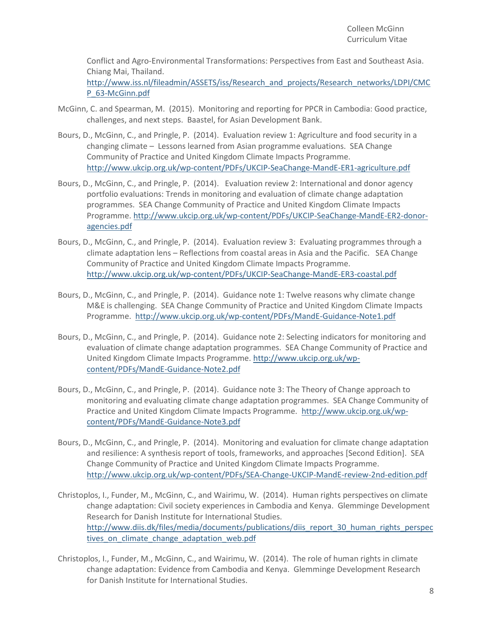Conflict and Agro-Environmental Transformations: Perspectives from East and Southeast Asia. Chiang Mai, Thailand.

[http://www.iss.nl/fileadmin/ASSETS/iss/Research\\_and\\_projects/Research\\_networks/LDPI/CMC](http://www.iss.nl/fileadmin/ASSETS/iss/Research_and_projects/Research_networks/LDPI/CMCP_63-McGinn.pdf) [P\\_63-McGinn.pdf](http://www.iss.nl/fileadmin/ASSETS/iss/Research_and_projects/Research_networks/LDPI/CMCP_63-McGinn.pdf)

- McGinn, C. and Spearman, M. (2015). Monitoring and reporting for PPCR in Cambodia: Good practice, challenges, and next steps. Baastel, for Asian Development Bank.
- Bours, D., McGinn, C., and Pringle, P. (2014). Evaluation review 1: Agriculture and food security in a changing climate – Lessons learned from Asian programme evaluations. SEA Change Community of Practice and United Kingdom Climate Impacts Programme. <http://www.ukcip.org.uk/wp-content/PDFs/UKCIP-SeaChange-MandE-ER1-agriculture.pdf>
- Bours, D., McGinn, C., and Pringle, P. (2014). Evaluation review 2: International and donor agency portfolio evaluations: Trends in monitoring and evaluation of climate change adaptation programmes. SEA Change Community of Practice and United Kingdom Climate Impacts Programme. [http://www.ukcip.org.uk/wp-content/PDFs/UKCIP-SeaChange-MandE-ER2-donor](http://www.ukcip.org.uk/wp-content/PDFs/UKCIP-SeaChange-MandE-ER2-donor-agencies.pdf)[agencies.pdf](http://www.ukcip.org.uk/wp-content/PDFs/UKCIP-SeaChange-MandE-ER2-donor-agencies.pdf)
- Bours, D., McGinn, C., and Pringle, P. (2014). Evaluation review 3: Evaluating programmes through a climate adaptation lens – Reflections from coastal areas in Asia and the Pacific. SEA Change Community of Practice and United Kingdom Climate Impacts Programme. <http://www.ukcip.org.uk/wp-content/PDFs/UKCIP-SeaChange-MandE-ER3-coastal.pdf>
- Bours, D., McGinn, C., and Pringle, P. (2014). Guidance note 1: Twelve reasons why climate change M&E is challenging. SEA Change Community of Practice and United Kingdom Climate Impacts Programme.<http://www.ukcip.org.uk/wp-content/PDFs/MandE-Guidance-Note1.pdf>
- Bours, D., McGinn, C., and Pringle, P. (2014). Guidance note 2: Selecting indicators for monitoring and evaluation of climate change adaptation programmes. SEA Change Community of Practice and United Kingdom Climate Impacts Programme. [http://www.ukcip.org.uk/wp](http://www.ukcip.org.uk/wp-content/PDFs/MandE-Guidance-Note2.pdf)[content/PDFs/MandE-Guidance-Note2.pdf](http://www.ukcip.org.uk/wp-content/PDFs/MandE-Guidance-Note2.pdf)
- Bours, D., McGinn, C., and Pringle, P. (2014). Guidance note 3: The Theory of Change approach to monitoring and evaluating climate change adaptation programmes. SEA Change Community of Practice and United Kingdom Climate Impacts Programme. [http://www.ukcip.org.uk/wp](http://www.ukcip.org.uk/wp-content/PDFs/MandE-Guidance-Note3.pdf)[content/PDFs/MandE-Guidance-Note3.pdf](http://www.ukcip.org.uk/wp-content/PDFs/MandE-Guidance-Note3.pdf)
- Bours, D., McGinn, C., and Pringle, P. (2014). Monitoring and evaluation for climate change adaptation and resilience: A synthesis report of tools, frameworks, and approaches [Second Edition]. SEA Change Community of Practice and United Kingdom Climate Impacts Programme. <http://www.ukcip.org.uk/wp-content/PDFs/SEA-Change-UKCIP-MandE-review-2nd-edition.pdf>
- Christoplos, I., Funder, M., McGinn, C., and Wairimu, W. (2014). Human rights perspectives on climate change adaptation: Civil society experiences in Cambodia and Kenya. Glemminge Development Research for Danish Institute for International Studies. [http://www.diis.dk/files/media/documents/publications/diis\\_report\\_30\\_human\\_rights\\_perspec](http://www.diis.dk/files/media/documents/publications/diis_report_30_human_rights_perspectives_on_climate_change_adaptation_web.pdf) tives on climate change adaptation web.pdf
- Christoplos, I., Funder, M., McGinn, C., and Wairimu, W. (2014). The role of human rights in climate change adaptation: Evidence from Cambodia and Kenya. Glemminge Development Research for Danish Institute for International Studies.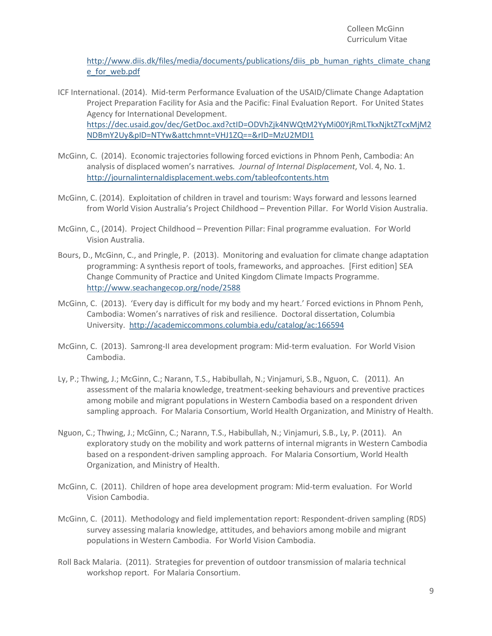[http://www.diis.dk/files/media/documents/publications/diis\\_pb\\_human\\_rights\\_climate\\_chang](http://www.diis.dk/files/media/documents/publications/diis_pb_human_rights_climate_change_for_web.pdf) [e\\_for\\_web.pdf](http://www.diis.dk/files/media/documents/publications/diis_pb_human_rights_climate_change_for_web.pdf)

- ICF International. (2014). Mid-term Performance Evaluation of the USAID/Climate Change Adaptation Project Preparation Facility for Asia and the Pacific: Final Evaluation Report. For United States Agency for International Development. [https://dec.usaid.gov/dec/GetDoc.axd?ctID=ODVhZjk4NWQtM2YyMi00YjRmLTkxNjktZTcxMjM2](https://dec.usaid.gov/dec/GetDoc.axd?ctID=ODVhZjk4NWQtM2YyMi00YjRmLTkxNjktZTcxMjM2NDBmY2Uy&pID=NTYw&attchmnt=VHJ1ZQ==&rID=MzU2MDI1) [NDBmY2Uy&pID=NTYw&attchmnt=VHJ1ZQ==&rID=MzU2MDI1](https://dec.usaid.gov/dec/GetDoc.axd?ctID=ODVhZjk4NWQtM2YyMi00YjRmLTkxNjktZTcxMjM2NDBmY2Uy&pID=NTYw&attchmnt=VHJ1ZQ==&rID=MzU2MDI1)
- McGinn, C. (2014). Economic trajectories following forced evictions in Phnom Penh, Cambodia: An analysis of displaced women's narratives*. Journal of Internal Displacement*, Vol. 4, No. 1. <http://journalinternaldisplacement.webs.com/tableofcontents.htm>
- McGinn, C. (2014). Exploitation of children in travel and tourism: Ways forward and lessons learned from World Vision Australia's Project Childhood – Prevention Pillar. For World Vision Australia.
- McGinn, C., (2014). Project Childhood Prevention Pillar: Final programme evaluation. For World Vision Australia.
- Bours, D., McGinn, C., and Pringle, P. (2013). Monitoring and evaluation for climate change adaptation programming: A synthesis report of tools, frameworks, and approaches. [First edition] SEA Change Community of Practice and United Kingdom Climate Impacts Programme. <http://www.seachangecop.org/node/2588>
- McGinn, C. (2013). 'Every day is difficult for my body and my heart.' Forced evictions in Phnom Penh, Cambodia: Women's narratives of risk and resilience. Doctoral dissertation, Columbia University. <http://academiccommons.columbia.edu/catalog/ac:166594>
- McGinn, C. (2013). Samrong-II area development program: Mid-term evaluation. For World Vision Cambodia.
- Ly, P.; Thwing, J.; McGinn, C.; Narann, T.S., Habibullah, N.; Vinjamuri, S.B., Nguon, C. (2011). An assessment of the malaria knowledge, treatment-seeking behaviours and preventive practices among mobile and migrant populations in Western Cambodia based on a respondent driven sampling approach. For Malaria Consortium, World Health Organization, and Ministry of Health.
- Nguon, C.; Thwing, J.; McGinn, C.; Narann, T.S., Habibullah, N.; Vinjamuri, S.B., Ly, P. (2011). An exploratory study on the mobility and work patterns of internal migrants in Western Cambodia based on a respondent-driven sampling approach. For Malaria Consortium, World Health Organization, and Ministry of Health.
- McGinn, C. (2011). Children of hope area development program: Mid-term evaluation. For World Vision Cambodia.
- McGinn, C. (2011). Methodology and field implementation report: Respondent-driven sampling (RDS) survey assessing malaria knowledge, attitudes, and behaviors among mobile and migrant populations in Western Cambodia. For World Vision Cambodia.
- Roll Back Malaria. (2011). Strategies for prevention of outdoor transmission of malaria technical workshop report. For Malaria Consortium.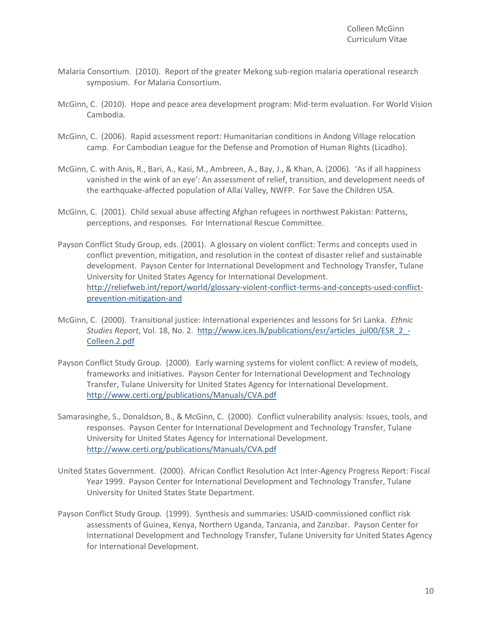- Malaria Consortium. (2010). Report of the greater Mekong sub-region malaria operational research symposium. For Malaria Consortium.
- McGinn, C. (2010). Hope and peace area development program: Mid-term evaluation. For World Vision Cambodia.
- McGinn, C. (2006). Rapid assessment report: Humanitarian conditions in Andong Village relocation camp. For Cambodian League for the Defense and Promotion of Human Rights (Licadho).
- McGinn, C. with Anis, R., Bari, A., Kasi, M., Ambreen, A., Bay, J., & Khan, A. (2006). 'As if all happiness vanished in the wink of an eye': An assessment of relief, transition, and development needs of the earthquake-affected population of Allai Valley, NWFP. For Save the Children USA.
- McGinn, C. (2001). Child sexual abuse affecting Afghan refugees in northwest Pakistan: Patterns, perceptions, and responses. For International Rescue Committee.
- Payson Conflict Study Group, eds. (2001). A glossary on violent conflict: Terms and concepts used in conflict prevention, mitigation, and resolution in the context of disaster relief and sustainable development. Payson Center for International Development and Technology Transfer, Tulane University for United States Agency for International Development. [http://reliefweb.int/report/world/glossary-violent-conflict-terms-and-concepts-used-conflict](http://reliefweb.int/report/world/glossary-violent-conflict-terms-and-concepts-used-conflict-prevention-mitigation-and)[prevention-mitigation-and](http://reliefweb.int/report/world/glossary-violent-conflict-terms-and-concepts-used-conflict-prevention-mitigation-and)
- McGinn, C. (2000). Transitional justice: International experiences and lessons for Sri Lanka. *Ethnic Studies Report*, Vol. 18, No. 2. [http://www.ices.lk/publications/esr/articles\\_jul00/ESR\\_2\\_-](http://www.ices.lk/publications/esr/articles_jul00/ESR_2_-Colleen.2.pdf) [Colleen.2.pdf](http://www.ices.lk/publications/esr/articles_jul00/ESR_2_-Colleen.2.pdf)
- Payson Conflict Study Group. (2000). Early warning systems for violent conflict: A review of models, frameworks and initiatives. Payson Center for International Development and Technology Transfer, Tulane University for United States Agency for International Development. <http://www.certi.org/publications/Manuals/CVA.pdf>
- Samarasinghe, S., Donaldson, B., & McGinn, C. (2000). Conflict vulnerability analysis: Issues, tools, and responses. Payson Center for International Development and Technology Transfer, Tulane University for United States Agency for International Development. <http://www.certi.org/publications/Manuals/CVA.pdf>
- United States Government. (2000). African Conflict Resolution Act Inter-Agency Progress Report: Fiscal Year 1999. Payson Center for International Development and Technology Transfer, Tulane University for United States State Department.
- Payson Conflict Study Group. (1999). Synthesis and summaries: USAID-commissioned conflict risk assessments of Guinea, Kenya, Northern Uganda, Tanzania, and Zanzibar. Payson Center for International Development and Technology Transfer, Tulane University for United States Agency for International Development.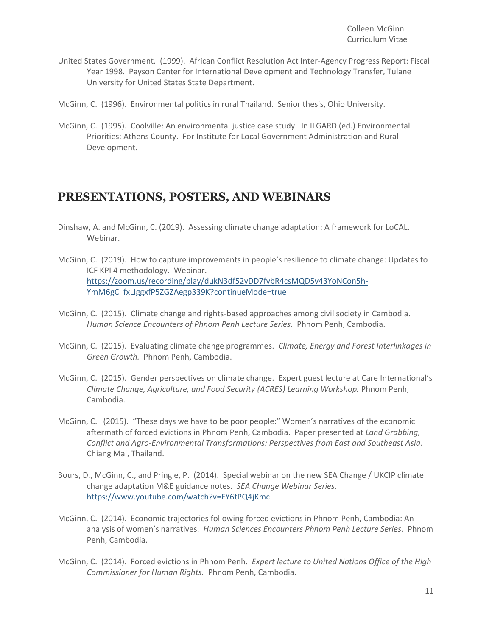- United States Government. (1999). African Conflict Resolution Act Inter-Agency Progress Report: Fiscal Year 1998. Payson Center for International Development and Technology Transfer, Tulane University for United States State Department.
- McGinn, C. (1996). Environmental politics in rural Thailand. Senior thesis, Ohio University.
- McGinn, C. (1995). Coolville: An environmental justice case study. In ILGARD (ed.) Environmental Priorities: Athens County. For Institute for Local Government Administration and Rural Development.

# **PRESENTATIONS, POSTERS, AND WEBINARS**

- Dinshaw, A. and McGinn, C. (2019). Assessing climate change adaptation: A framework for LoCAL. Webinar.
- McGinn, C. (2019). How to capture improvements in people's resilience to climate change: Updates to ICF KPI 4 methodology. Webinar. [https://zoom.us/recording/play/dukN3df52yDD7fvbR4csMQD5v43YoNCon5h-](https://zoom.us/recording/play/dukN3df52yDD7fvbR4csMQD5v43YoNCon5h-YmM6gC_fxLIggxfP5ZGZAegp339K?continueMode=true)[YmM6gC\\_fxLIggxfP5ZGZAegp339K?continueMode=true](https://zoom.us/recording/play/dukN3df52yDD7fvbR4csMQD5v43YoNCon5h-YmM6gC_fxLIggxfP5ZGZAegp339K?continueMode=true)
- McGinn, C. (2015). Climate change and rights-based approaches among civil society in Cambodia. *Human Science Encounters of Phnom Penh Lecture Series.* Phnom Penh, Cambodia.
- McGinn, C. (2015). Evaluating climate change programmes. *Climate, Energy and Forest Interlinkages in Green Growth.* Phnom Penh, Cambodia.
- McGinn, C. (2015). Gender perspectives on climate change. Expert guest lecture at Care International's *Climate Change, Agriculture, and Food Security (ACRES) Learning Workshop.* Phnom Penh, Cambodia.
- McGinn, C. (2015). "These days we have to be poor people:" Women's narratives of the economic aftermath of forced evictions in Phnom Penh, Cambodia. Paper presented at *Land Grabbing, Conflict and Agro-Environmental Transformations: Perspectives from East and Southeast Asia*. Chiang Mai, Thailand.
- Bours, D., McGinn, C., and Pringle, P. (2014). Special webinar on the new SEA Change / UKCIP climate change adaptation M&E guidance notes. *SEA Change Webinar Series.* <https://www.youtube.com/watch?v=EY6tPQ4jKmc>
- McGinn, C. (2014). Economic trajectories following forced evictions in Phnom Penh, Cambodia: An analysis of women's narratives. *Human Sciences Encounters Phnom Penh Lecture Series*. Phnom Penh, Cambodia.
- McGinn, C. (2014). Forced evictions in Phnom Penh. *Expert lecture to United Nations Office of the High Commissioner for Human Rights.* Phnom Penh, Cambodia.